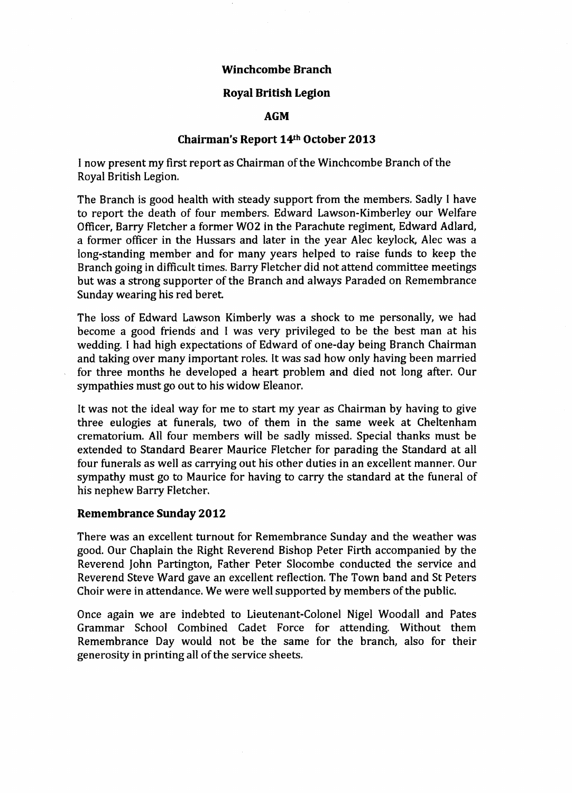## **Winchcombe Branch**

## **Royal British Legion**

# **AGM**

### **Chairman's Report 14th October 2013**

I now present my first report as Chairman of the Winchcombe Branch of the Royal British Legion.

The Branch is good health with steady support from the members. Sadly I have to report the death of four members. Edward Lawson-Kimberley our Welfare Officer, Barry Fletcher a former W02 in the Parachute regiment, Edward Adlard, a former officer in the Hussars and later in the year Alec keylock, Alec was a long-standing member and for many years helped to raise funds to keep the Branch going in difficult times. Barry Fletcher did not attend committee meetings but was a strong supporter of the Branch and always Paraded on Remembrance Sunday wearing his red beret

The loss of Edward Lawson Kimberly was a shock to me personally, we had become a good friends and I was very privileged to be the best man at his wedding. I had high expectations of Edward of one-day being Branch Chairman and taking over many important roles. It was sad how only having been married for three months he developed a heart problem and died not long after. Our sympathies must go out to his widow Eleanor.

It was not the ideal way for me to start my year as Chairman by having to give three eulogies at funerals, two of them in the same week at Cheltenham crematorium. All four members will be sadly missed. Special thanks must be extended to Standard Bearer Maurice Fletcher for parading the Standard at all four funerals as well as carrying out his other duties in an excellent manner. Our sympathy must go to Maurice for having to carry the standard at the funeral of his nephew Barry Fletcher.

## **Remembrance Sunday 2012**

There was an excellent turnout for Remembrance Sunday and the weather was good. Our Chaplain the Right Reverend Bishop Peter Firth accompanied by the Reverend John Partington, Father Peter Slocombe conducted the service and Reverend Steve Ward gave an excellent reflection. The Town band and St Peters Choir were in attendance. We were well supported by members of the public.

Once again we are indebted to Lieutenant-Colonel Nigel Woodall and Pates Grammar School Combined Cadet Force for attending. Without them Remembrance Day would not be the same for the branch, also for their generosity in printing all of the service sheets.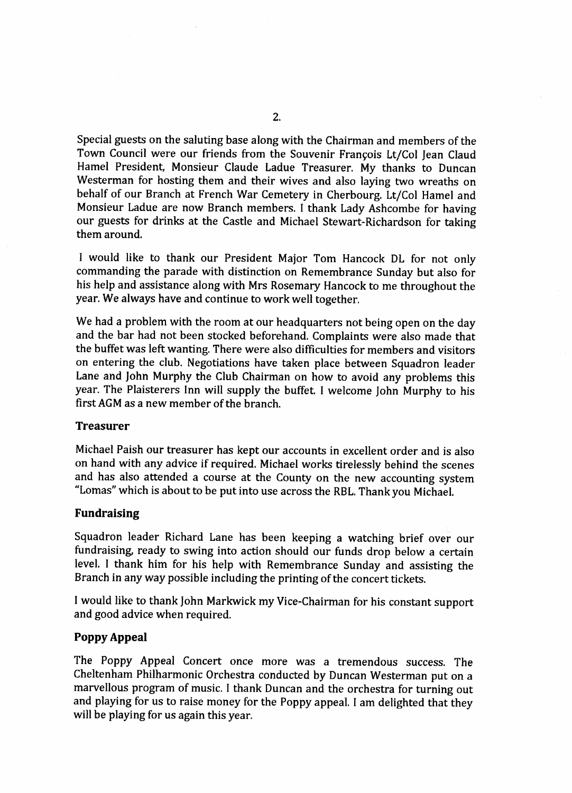Special guests on the saluting base along with the Chairman and members of the Town Council were our friends from the Souvenir François Lt/Col Jean Claud Hamel President, Monsieur Claude Ladue Treasurer. My thanks to Duncan Westerman for hosting them and their wives and also laying two wreaths on behalf of our Branch at French War Cemetery in Cherbourg. Lt/Col Hamel and Monsieur Ladue are now Branch members. I thank Lady Ashcombe for having our guests for drinks at the Castle and Michael Stewart-Richardson for taking them around.

1 would like to thank our President Major Tom Hancock DL for not only commanding the parade with distinction on Remembrance Sunday but also for his help and assistance along with Mrs Rosemary Hancock to me throughout the year. We always have and continue to work well together.

We had a problem with the room at our headquarters not being open on the day and the bar had not been stocked beforehand. Complaints were also made that the buffet was left wanting. There were also difficulties for members and visitors on entering the club. Negotiations have taken place between Squadron leader Lane and John Murphy the Club Chairman on how to avoid any problems this year. The Plaisterers Inn will supply the buffet I welcome John Murphy to his first AGM as a new member of the branch.

#### **Treasurer**

Michael Paish our treasurer has kept our accounts in excellent order and is also on hand with any advice if required. Michael works tirelessly behind the scenes and has also attended a course at the County on the new accounting system "Lomas" which is about to be put into use across the RBL. Thank you Michael.

#### **Fundraising**

Squadron leader Richard Lane has been keeping a watching brief over our fundraising, ready to swing into action should our funds drop below a certain level. I thank him for his help with Remembrance Sunday and assisting the Branch in any way possible including the printing of the concert tickets.

I would like to thank John Markwick my Vice-Chairman for his constant support and good advice when required.

#### **Poppy Appeal**

The Poppy Appeal Concert once more was a tremendous success. The Cheltenham Philharmonic Orchestra conducted by Duncan Westerman put on a marvellous program of music. I thank Duncan and the orchestra for turning out and playing for us to raise money for the Poppy appeal. I am delighted that they will be playing for us again this year.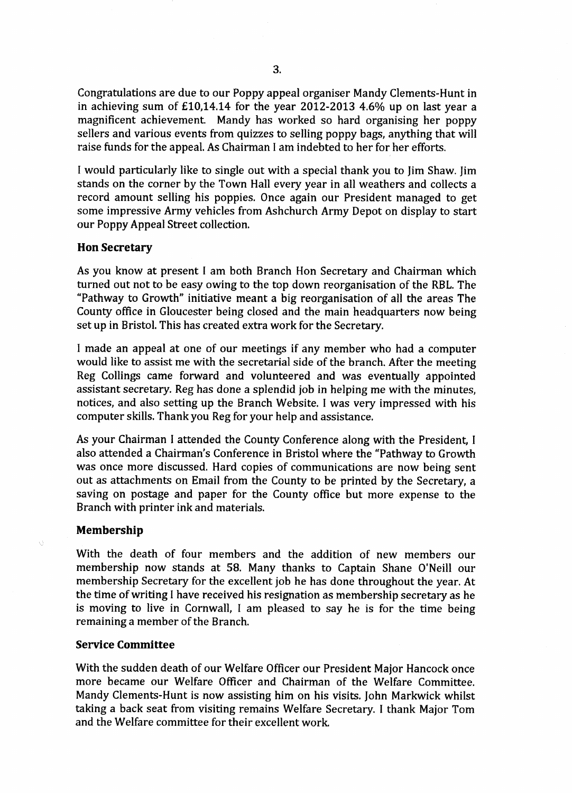Congratulations are due to our Poppy appeal organiser Mandy Clements-Hunt in in achieving sum of £10,14.14 for the year 2012-2013 4.6% up on last year a magnificent achievement. Mandy has worked so hard organising her poppy sellers and various events from quizzes to selling poppy bags, anything that will raise funds for the appeal. As Chairman I am indebted to her for her efforts.

I would particularly like to single out with a special thank you to Jim Shaw. Jim stands on the corner by the Town Hall every year in all weathers and collects a record amount selling his poppies. Once again our President managed to get some impressive Army vehicles from Ashchurch Army Depot on display to start our Poppy Appeal Street collection.

#### **Hon Secretary**

As you know at present I am both Branch Hon Secretary and Chairman which turned out not to be easy owing to the top down reorganisation of the RBL. The "Pathway to Growth" initiative meant a big reorganisation of all the areas The County office in Gloucester being closed and the main headquarters now being set up in Bristol. This has created extra work for the Secretary.

1 made an appeal at one of our meetings if any member who had a computer would like to assist me with the secretarial side of the branch. After the meeting Reg Collings came forward and volunteered and was eventually appointed assistant secretary. Reg has done a splendid job in helping me with the minutes, notices, and also setting up the Branch Website. I was very impressed with his computer skills. Thank you Reg for your help and assistance.

As your Chairman I attended the County Conference along with the President, I also attended a Chairman's Conference in Bristol where the "Pathway to Growth was once more discussed. Hard copies of communications are now being sent out as attachments on Email from the County to be printed by the Secretary, a saving on postage and paper for the County office but more expense to the Branch with printer ink and materials.

### **Membership**

With the death of four members and the addition of new members our membership now stands at 58. Many thanks to Captain Shane O'Neill our membership Secretary for the excellent job he has done throughout the year. At the time of writing I have received his resignation as membership secretary as he is moving to live in Cornwall, I am pleased to say he is for the time being remaining a member of the Branch.

### **Service Committee**

With the sudden death of our Welfare Officer our President Major Hancock once more became our Welfare Officer and Chairman of the Welfare Committee. Mandy Clements-Hunt is now assisting him on his visits. John Markwick whilst taking a back seat from visiting remains Welfare Secretary. I thank Major Tom and the Welfare committee for their excellent work.